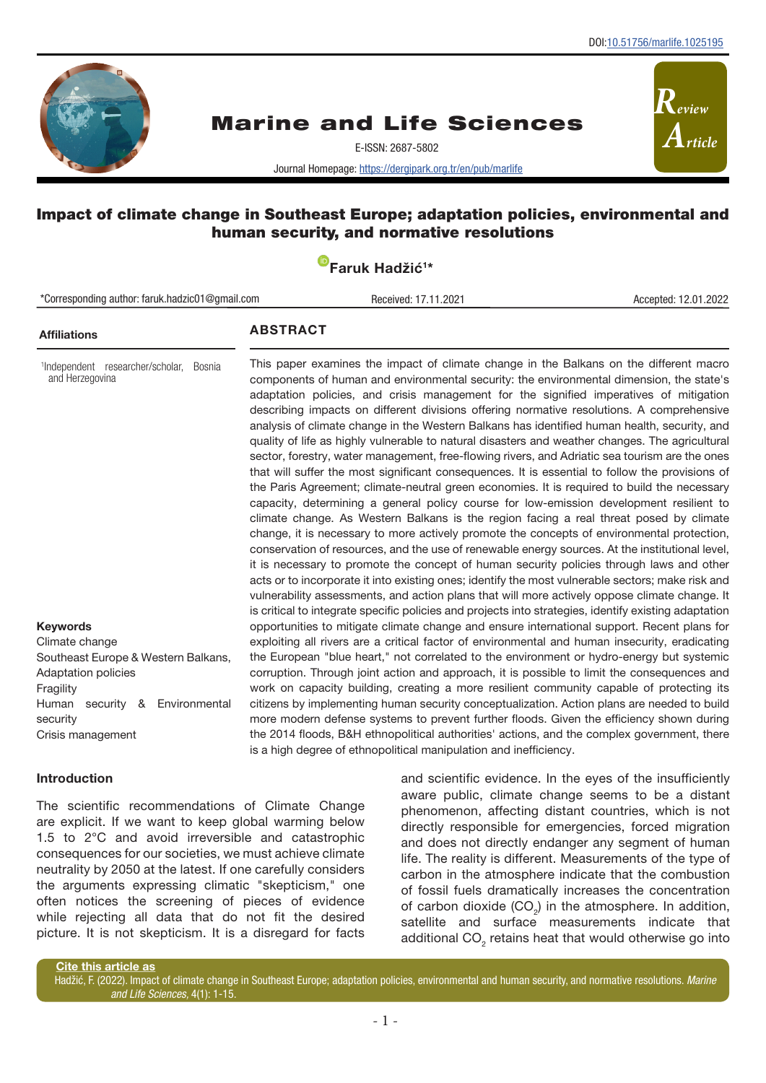*Review*

*Article*



# Marine and Life Sciences

E-ISSN: 2687-5802

Journal Homepage:<https://dergipark.org.tr/en/pub/marlife>

# Impact of climate change in Southeast Europe; adaptation policies, environmental and human security, and normative resolutions

| Faruk Hadžić <sup>1*</sup> |
|----------------------------|
|----------------------------|

| *Corresponding author: faruk.hadzic01@gmail.com<br>Accepted: 12.01.2022<br>Received: 17.11.2021                                                                                              |                                                                                                                                                                                                                                                                                                                                                                                                                                                                                                                                                                                                                                                                                                                                                                                                                                                      |                                                                                                                                                                                                                                                                                                                                                                                                                                                                                                                                                                                                                                                                                                                                                                                                                                                                                                                                                                                                                                                                                                                                                                                                                                                                                                                                                                                                                                                                                                                                                                          |  |
|----------------------------------------------------------------------------------------------------------------------------------------------------------------------------------------------|------------------------------------------------------------------------------------------------------------------------------------------------------------------------------------------------------------------------------------------------------------------------------------------------------------------------------------------------------------------------------------------------------------------------------------------------------------------------------------------------------------------------------------------------------------------------------------------------------------------------------------------------------------------------------------------------------------------------------------------------------------------------------------------------------------------------------------------------------|--------------------------------------------------------------------------------------------------------------------------------------------------------------------------------------------------------------------------------------------------------------------------------------------------------------------------------------------------------------------------------------------------------------------------------------------------------------------------------------------------------------------------------------------------------------------------------------------------------------------------------------------------------------------------------------------------------------------------------------------------------------------------------------------------------------------------------------------------------------------------------------------------------------------------------------------------------------------------------------------------------------------------------------------------------------------------------------------------------------------------------------------------------------------------------------------------------------------------------------------------------------------------------------------------------------------------------------------------------------------------------------------------------------------------------------------------------------------------------------------------------------------------------------------------------------------------|--|
| <b>Affiliations</b>                                                                                                                                                                          | <b>ABSTRACT</b>                                                                                                                                                                                                                                                                                                                                                                                                                                                                                                                                                                                                                                                                                                                                                                                                                                      |                                                                                                                                                                                                                                                                                                                                                                                                                                                                                                                                                                                                                                                                                                                                                                                                                                                                                                                                                                                                                                                                                                                                                                                                                                                                                                                                                                                                                                                                                                                                                                          |  |
| <sup>1</sup> Independent researcher/scholar,<br>Bosnia<br>and Herzegovina                                                                                                                    | is critical to integrate specific policies and projects into strategies, identify existing adaptation                                                                                                                                                                                                                                                                                                                                                                                                                                                                                                                                                                                                                                                                                                                                                | This paper examines the impact of climate change in the Balkans on the different macro<br>components of human and environmental security: the environmental dimension, the state's<br>adaptation policies, and crisis management for the signified imperatives of mitigation<br>describing impacts on different divisions offering normative resolutions. A comprehensive<br>analysis of climate change in the Western Balkans has identified human health, security, and<br>quality of life as highly vulnerable to natural disasters and weather changes. The agricultural<br>sector, forestry, water management, free-flowing rivers, and Adriatic sea tourism are the ones<br>that will suffer the most significant consequences. It is essential to follow the provisions of<br>the Paris Agreement; climate-neutral green economies. It is required to build the necessary<br>capacity, determining a general policy course for low-emission development resilient to<br>climate change. As Western Balkans is the region facing a real threat posed by climate<br>change, it is necessary to more actively promote the concepts of environmental protection,<br>conservation of resources, and the use of renewable energy sources. At the institutional level,<br>it is necessary to promote the concept of human security policies through laws and other<br>acts or to incorporate it into existing ones; identify the most vulnerable sectors; make risk and<br>vulnerability assessments, and action plans that will more actively oppose climate change. It |  |
| <b>Keywords</b><br>Climate change<br>Southeast Europe & Western Balkans,<br><b>Adaptation policies</b><br>Fragility<br>Environmental<br>Human<br>security &<br>security<br>Crisis management | opportunities to mitigate climate change and ensure international support. Recent plans for<br>exploiting all rivers are a critical factor of environmental and human insecurity, eradicating<br>the European "blue heart," not correlated to the environment or hydro-energy but systemic<br>corruption. Through joint action and approach, it is possible to limit the consequences and<br>work on capacity building, creating a more resilient community capable of protecting its<br>citizens by implementing human security conceptualization. Action plans are needed to build<br>more modern defense systems to prevent further floods. Given the efficiency shown during<br>the 2014 floods, B&H ethnopolitical authorities' actions, and the complex government, there<br>is a high degree of ethnopolitical manipulation and inefficiency. |                                                                                                                                                                                                                                                                                                                                                                                                                                                                                                                                                                                                                                                                                                                                                                                                                                                                                                                                                                                                                                                                                                                                                                                                                                                                                                                                                                                                                                                                                                                                                                          |  |

### Introduction

The scientific recommendations of Climate Change are explicit. If we want to keep global warming below 1.5 to 2°C and avoid irreversible and catastrophic consequences for our societies, we must achieve climate neutrality by 2050 at the latest. If one carefully considers the arguments expressing climatic "skepticism," one often notices the screening of pieces of evidence while rejecting all data that do not fit the desired picture. It is not skepticism. It is a disregard for facts

and scientific evidence. In the eyes of the insufficiently aware public, climate change seems to be a distant phenomenon, affecting distant countries, which is not directly responsible for emergencies, forced migration and does not directly endanger any segment of human life. The reality is different. Measurements of the type of carbon in the atmosphere indicate that the combustion of fossil fuels dramatically increases the concentration of carbon dioxide  $(CO<sub>2</sub>)$  in the atmosphere. In addition, satellite and surface measurements indicate that additional CO<sub>2</sub> retains heat that would otherwise go into

Cite this article as

Hadžić, F. (2022). Impact of climate change in Southeast Europe; adaptation policies, environmental and human security, and normative resolutions. *Marine and Life Sciences,* 4(1): 1-15.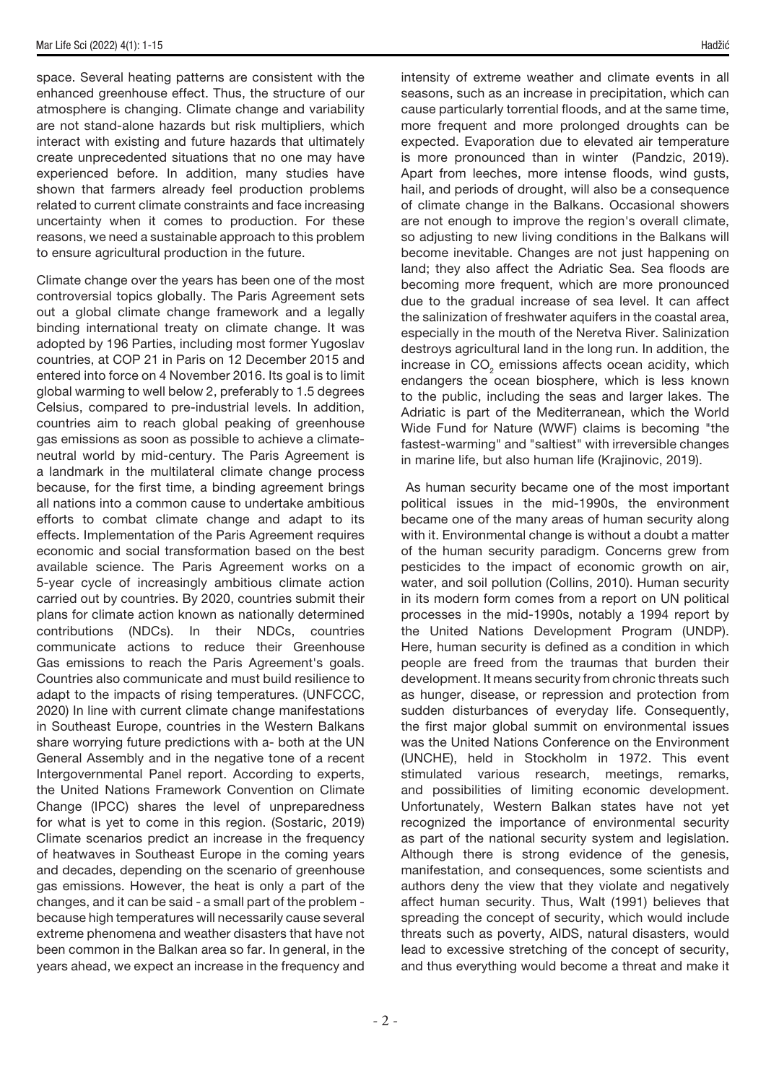space. Several heating patterns are consistent with the enhanced greenhouse effect. Thus, the structure of our atmosphere is changing. Climate change and variability are not stand-alone hazards but risk multipliers, which interact with existing and future hazards that ultimately create unprecedented situations that no one may have experienced before. In addition, many studies have shown that farmers already feel production problems related to current climate constraints and face increasing uncertainty when it comes to production. For these reasons, we need a sustainable approach to this problem to ensure agricultural production in the future.

Climate change over the years has been one of the most controversial topics globally. The Paris Agreement sets out a global climate change framework and a legally binding international treaty on climate change. It was adopted by 196 Parties, including most former Yugoslav countries, at COP 21 in Paris on 12 December 2015 and entered into force on 4 November 2016. Its goal is to limit global warming to well below 2, preferably to 1.5 degrees Celsius, compared to pre-industrial levels. In addition, countries aim to reach global peaking of greenhouse gas emissions as soon as possible to achieve a climateneutral world by mid-century. The Paris Agreement is a landmark in the multilateral climate change process because, for the first time, a binding agreement brings all nations into a common cause to undertake ambitious efforts to combat climate change and adapt to its effects. Implementation of the Paris Agreement requires economic and social transformation based on the best available science. The Paris Agreement works on a 5-year cycle of increasingly ambitious climate action carried out by countries. By 2020, countries submit their plans for climate action known as nationally determined contributions (NDCs). In their NDCs, countries communicate actions to reduce their Greenhouse Gas emissions to reach the Paris Agreement's goals. Countries also communicate and must build resilience to adapt to the impacts of rising temperatures. (UNFCCC, 2020) In line with current climate change manifestations in Southeast Europe, countries in the Western Balkans share worrying future predictions with a- both at the UN General Assembly and in the negative tone of a recent Intergovernmental Panel report. According to experts, the United Nations Framework Convention on Climate Change (IPCC) shares the level of unpreparedness for what is yet to come in this region. (Sostaric, 2019) Climate scenarios predict an increase in the frequency of heatwaves in Southeast Europe in the coming years and decades, depending on the scenario of greenhouse gas emissions. However, the heat is only a part of the changes, and it can be said - a small part of the problem because high temperatures will necessarily cause several extreme phenomena and weather disasters that have not been common in the Balkan area so far. In general, in the years ahead, we expect an increase in the frequency and intensity of extreme weather and climate events in all seasons, such as an increase in precipitation, which can cause particularly torrential floods, and at the same time, more frequent and more prolonged droughts can be expected. Evaporation due to elevated air temperature is more pronounced than in winter (Pandzic, 2019). Apart from leeches, more intense floods, wind gusts, hail, and periods of drought, will also be a consequence of climate change in the Balkans. Occasional showers are not enough to improve the region's overall climate, so adjusting to new living conditions in the Balkans will become inevitable. Changes are not just happening on land; they also affect the Adriatic Sea. Sea floods are becoming more frequent, which are more pronounced due to the gradual increase of sea level. It can affect the salinization of freshwater aquifers in the coastal area, especially in the mouth of the Neretva River. Salinization destroys agricultural land in the long run. In addition, the increase in  $\mathrm{CO}_2$  emissions affects ocean acidity, which endangers the ocean biosphere, which is less known to the public, including the seas and larger lakes. The Adriatic is part of the Mediterranean, which the World Wide Fund for Nature (WWF) claims is becoming "the fastest-warming" and "saltiest" with irreversible changes in marine life, but also human life (Krajinovic, 2019).

 As human security became one of the most important political issues in the mid-1990s, the environment became one of the many areas of human security along with it. Environmental change is without a doubt a matter of the human security paradigm. Concerns grew from pesticides to the impact of economic growth on air, water, and soil pollution (Collins, 2010). Human security in its modern form comes from a report on UN political processes in the mid-1990s, notably a 1994 report by the United Nations Development Program (UNDP). Here, human security is defined as a condition in which people are freed from the traumas that burden their development. It means security from chronic threats such as hunger, disease, or repression and protection from sudden disturbances of everyday life. Consequently, the first major global summit on environmental issues was the United Nations Conference on the Environment (UNCHE), held in Stockholm in 1972. This event stimulated various research, meetings, remarks, and possibilities of limiting economic development. Unfortunately, Western Balkan states have not yet recognized the importance of environmental security as part of the national security system and legislation. Although there is strong evidence of the genesis, manifestation, and consequences, some scientists and authors deny the view that they violate and negatively affect human security. Thus, Walt (1991) believes that spreading the concept of security, which would include threats such as poverty, AIDS, natural disasters, would lead to excessive stretching of the concept of security, and thus everything would become a threat and make it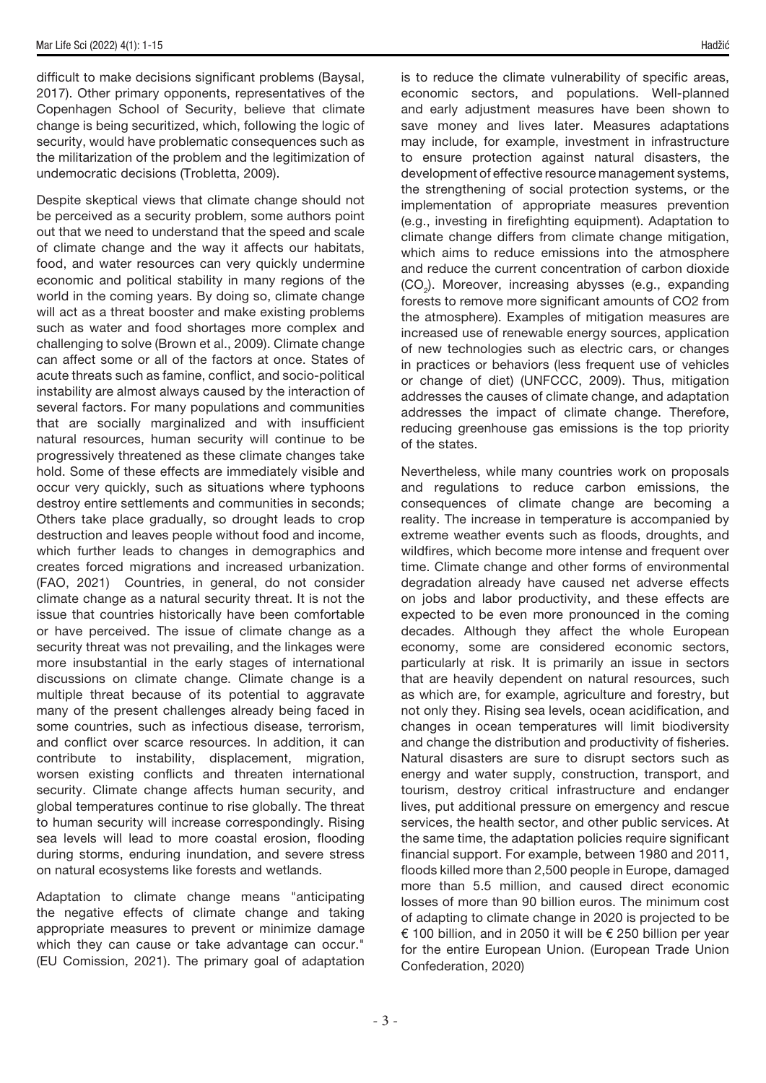difficult to make decisions significant problems (Baysal, 2017). Other primary opponents, representatives of the Copenhagen School of Security, believe that climate change is being securitized, which, following the logic of security, would have problematic consequences such as the militarization of the problem and the legitimization of undemocratic decisions (Trobletta, 2009).

Despite skeptical views that climate change should not be perceived as a security problem, some authors point out that we need to understand that the speed and scale of climate change and the way it affects our habitats, food, and water resources can very quickly undermine economic and political stability in many regions of the world in the coming years. By doing so, climate change will act as a threat booster and make existing problems such as water and food shortages more complex and challenging to solve (Brown et al., 2009). Climate change can affect some or all of the factors at once. States of acute threats such as famine, conflict, and socio-political instability are almost always caused by the interaction of several factors. For many populations and communities that are socially marginalized and with insufficient natural resources, human security will continue to be progressively threatened as these climate changes take hold. Some of these effects are immediately visible and occur very quickly, such as situations where typhoons destroy entire settlements and communities in seconds; Others take place gradually, so drought leads to crop destruction and leaves people without food and income, which further leads to changes in demographics and creates forced migrations and increased urbanization. (FAO, 2021) Countries, in general, do not consider climate change as a natural security threat. It is not the issue that countries historically have been comfortable or have perceived. The issue of climate change as a security threat was not prevailing, and the linkages were more insubstantial in the early stages of international discussions on climate change. Climate change is a multiple threat because of its potential to aggravate many of the present challenges already being faced in some countries, such as infectious disease, terrorism, and conflict over scarce resources. In addition, it can contribute to instability, displacement, migration, worsen existing conflicts and threaten international security. Climate change affects human security, and global temperatures continue to rise globally. The threat to human security will increase correspondingly. Rising sea levels will lead to more coastal erosion, flooding during storms, enduring inundation, and severe stress on natural ecosystems like forests and wetlands.

Adaptation to climate change means "anticipating the negative effects of climate change and taking appropriate measures to prevent or minimize damage which they can cause or take advantage can occur." (EU Comission, 2021). The primary goal of adaptation

is to reduce the climate vulnerability of specific areas, economic sectors, and populations. Well-planned and early adjustment measures have been shown to save money and lives later. Measures adaptations may include, for example, investment in infrastructure to ensure protection against natural disasters, the development of effective resource management systems, the strengthening of social protection systems, or the implementation of appropriate measures prevention (e.g., investing in firefighting equipment). Adaptation to climate change differs from climate change mitigation, which aims to reduce emissions into the atmosphere and reduce the current concentration of carbon dioxide  $(CO<sub>2</sub>)$ . Moreover, increasing abysses (e.g., expanding forests to remove more significant amounts of CO2 from the atmosphere). Examples of mitigation measures are increased use of renewable energy sources, application of new technologies such as electric cars, or changes in practices or behaviors (less frequent use of vehicles or change of diet) (UNFCCC, 2009). Thus, mitigation addresses the causes of climate change, and adaptation addresses the impact of climate change. Therefore, reducing greenhouse gas emissions is the top priority of the states.

Nevertheless, while many countries work on proposals and regulations to reduce carbon emissions, the consequences of climate change are becoming a reality. The increase in temperature is accompanied by extreme weather events such as floods, droughts, and wildfires, which become more intense and frequent over time. Climate change and other forms of environmental degradation already have caused net adverse effects on jobs and labor productivity, and these effects are expected to be even more pronounced in the coming decades. Although they affect the whole European economy, some are considered economic sectors, particularly at risk. It is primarily an issue in sectors that are heavily dependent on natural resources, such as which are, for example, agriculture and forestry, but not only they. Rising sea levels, ocean acidification, and changes in ocean temperatures will limit biodiversity and change the distribution and productivity of fisheries. Natural disasters are sure to disrupt sectors such as energy and water supply, construction, transport, and tourism, destroy critical infrastructure and endanger lives, put additional pressure on emergency and rescue services, the health sector, and other public services. At the same time, the adaptation policies require significant financial support. For example, between 1980 and 2011, floods killed more than 2,500 people in Europe, damaged more than 5.5 million, and caused direct economic losses of more than 90 billion euros. The minimum cost of adapting to climate change in 2020 is projected to be € 100 billion, and in 2050 it will be € 250 billion per year for the entire European Union. (European Trade Union Confederation, 2020)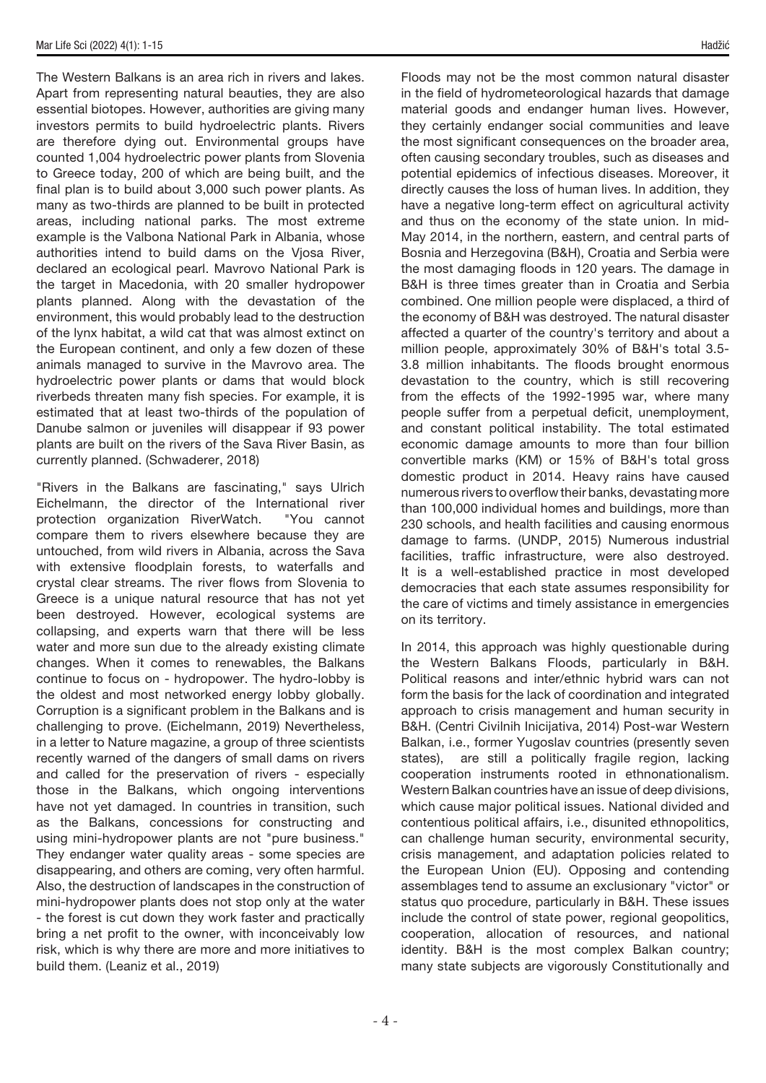The Western Balkans is an area rich in rivers and lakes. Apart from representing natural beauties, they are also essential biotopes. However, authorities are giving many investors permits to build hydroelectric plants. Rivers are therefore dying out. Environmental groups have counted 1,004 hydroelectric power plants from Slovenia to Greece today, 200 of which are being built, and the final plan is to build about 3,000 such power plants. As many as two-thirds are planned to be built in protected areas, including national parks. The most extreme example is the Valbona National Park in Albania, whose authorities intend to build dams on the Vjosa River, declared an ecological pearl. Mavrovo National Park is the target in Macedonia, with 20 smaller hydropower plants planned. Along with the devastation of the environment, this would probably lead to the destruction of the lynx habitat, a wild cat that was almost extinct on the European continent, and only a few dozen of these animals managed to survive in the Mavrovo area. The hydroelectric power plants or dams that would block riverbeds threaten many fish species. For example, it is estimated that at least two-thirds of the population of Danube salmon or juveniles will disappear if 93 power plants are built on the rivers of the Sava River Basin, as currently planned. (Schwaderer, 2018)

"Rivers in the Balkans are fascinating," says Ulrich Eichelmann, the director of the International river protection organization RiverWatch. "You cannot compare them to rivers elsewhere because they are untouched, from wild rivers in Albania, across the Sava with extensive floodplain forests, to waterfalls and crystal clear streams. The river flows from Slovenia to Greece is a unique natural resource that has not yet been destroyed. However, ecological systems are collapsing, and experts warn that there will be less water and more sun due to the already existing climate changes. When it comes to renewables, the Balkans continue to focus on - hydropower. The hydro-lobby is the oldest and most networked energy lobby globally. Corruption is a significant problem in the Balkans and is challenging to prove. (Eichelmann, 2019) Nevertheless, in a letter to Nature magazine, a group of three scientists recently warned of the dangers of small dams on rivers and called for the preservation of rivers - especially those in the Balkans, which ongoing interventions have not yet damaged. In countries in transition, such as the Balkans, concessions for constructing and using mini-hydropower plants are not "pure business." They endanger water quality areas - some species are disappearing, and others are coming, very often harmful. Also, the destruction of landscapes in the construction of mini-hydropower plants does not stop only at the water - the forest is cut down they work faster and practically bring a net profit to the owner, with inconceivably low risk, which is why there are more and more initiatives to build them. (Leaniz et al., 2019)

Floods may not be the most common natural disaster in the field of hydrometeorological hazards that damage material goods and endanger human lives. However, they certainly endanger social communities and leave the most significant consequences on the broader area, often causing secondary troubles, such as diseases and potential epidemics of infectious diseases. Moreover, it directly causes the loss of human lives. In addition, they have a negative long-term effect on agricultural activity and thus on the economy of the state union. In mid-May 2014, in the northern, eastern, and central parts of Bosnia and Herzegovina (B&H), Croatia and Serbia were the most damaging floods in 120 years. The damage in B&H is three times greater than in Croatia and Serbia combined. One million people were displaced, a third of the economy of B&H was destroyed. The natural disaster affected a quarter of the country's territory and about a million people, approximately 30% of B&H's total 3.5- 3.8 million inhabitants. The floods brought enormous devastation to the country, which is still recovering from the effects of the 1992-1995 war, where many people suffer from a perpetual deficit, unemployment, and constant political instability. The total estimated economic damage amounts to more than four billion convertible marks (KM) or 15% of B&H's total gross domestic product in 2014. Heavy rains have caused numerous rivers to overflow their banks, devastating more than 100,000 individual homes and buildings, more than 230 schools, and health facilities and causing enormous damage to farms. (UNDP, 2015) Numerous industrial facilities, traffic infrastructure, were also destroyed. It is a well-established practice in most developed democracies that each state assumes responsibility for the care of victims and timely assistance in emergencies on its territory.

In 2014, this approach was highly questionable during the Western Balkans Floods, particularly in B&H. Political reasons and inter/ethnic hybrid wars can not form the basis for the lack of coordination and integrated approach to crisis management and human security in B&H. (Centri Civilnih Inicijativa, 2014) Post-war Western Balkan, i.e., former Yugoslav countries (presently seven states), are still a politically fragile region, lacking cooperation instruments rooted in ethnonationalism. Western Balkan countries have an issue of deep divisions, which cause major political issues. National divided and contentious political affairs, i.e., disunited ethnopolitics, can challenge human security, environmental security, crisis management, and adaptation policies related to the European Union (EU). Opposing and contending assemblages tend to assume an exclusionary "victor" or status quo procedure, particularly in B&H. These issues include the control of state power, regional geopolitics, cooperation, allocation of resources, and national identity. B&H is the most complex Balkan country; many state subjects are vigorously Constitutionally and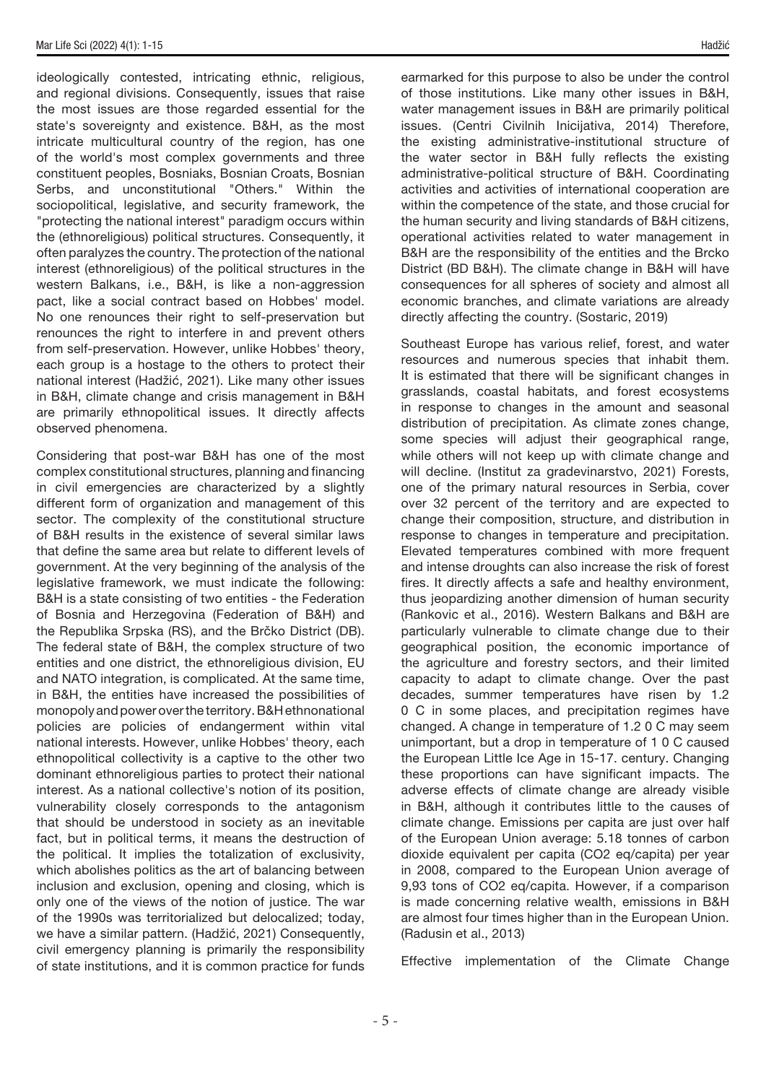ideologically contested, intricating ethnic, religious, and regional divisions. Consequently, issues that raise the most issues are those regarded essential for the state's sovereignty and existence. B&H, as the most intricate multicultural country of the region, has one of the world's most complex governments and three constituent peoples, Bosniaks, Bosnian Croats, Bosnian Serbs, and unconstitutional "Others." Within the sociopolitical, legislative, and security framework, the "protecting the national interest" paradigm occurs within the (ethnoreligious) political structures. Consequently, it often paralyzes the country. The protection of the national interest (ethnoreligious) of the political structures in the western Balkans, i.e., B&H, is like a non-aggression pact, like a social contract based on Hobbes' model. No one renounces their right to self-preservation but renounces the right to interfere in and prevent others from self-preservation. However, unlike Hobbes' theory, each group is a hostage to the others to protect their national interest (Hadžić, 2021). Like many other issues in B&H, climate change and crisis management in B&H are primarily ethnopolitical issues. It directly affects observed phenomena.

Considering that post-war B&H has one of the most complex constitutional structures, planning and financing in civil emergencies are characterized by a slightly different form of organization and management of this sector. The complexity of the constitutional structure of B&H results in the existence of several similar laws that define the same area but relate to different levels of government. At the very beginning of the analysis of the legislative framework, we must indicate the following: B&H is a state consisting of two entities - the Federation of Bosnia and Herzegovina (Federation of B&H) and the Republika Srpska (RS), and the Brčko District (DB). The federal state of B&H, the complex structure of two entities and one district, the ethnoreligious division, EU and NATO integration, is complicated. At the same time, in B&H, the entities have increased the possibilities of monopoly and power over the territory. B&H ethnonational policies are policies of endangerment within vital national interests. However, unlike Hobbes' theory, each ethnopolitical collectivity is a captive to the other two dominant ethnoreligious parties to protect their national interest. As a national collective's notion of its position, vulnerability closely corresponds to the antagonism that should be understood in society as an inevitable fact, but in political terms, it means the destruction of the political. It implies the totalization of exclusivity, which abolishes politics as the art of balancing between inclusion and exclusion, opening and closing, which is only one of the views of the notion of justice. The war of the 1990s was territorialized but delocalized; today, we have a similar pattern. (Hadžić, 2021) Consequently, civil emergency planning is primarily the responsibility of state institutions, and it is common practice for funds earmarked for this purpose to also be under the control of those institutions. Like many other issues in B&H, water management issues in B&H are primarily political issues. (Centri Civilnih Inicijativa, 2014) Therefore, the existing administrative-institutional structure of the water sector in B&H fully reflects the existing administrative-political structure of B&H. Coordinating activities and activities of international cooperation are within the competence of the state, and those crucial for the human security and living standards of B&H citizens, operational activities related to water management in B&H are the responsibility of the entities and the Brcko District (BD B&H). The climate change in B&H will have consequences for all spheres of society and almost all economic branches, and climate variations are already directly affecting the country. (Sostaric, 2019)

Southeast Europe has various relief, forest, and water resources and numerous species that inhabit them. It is estimated that there will be significant changes in grasslands, coastal habitats, and forest ecosystems in response to changes in the amount and seasonal distribution of precipitation. As climate zones change, some species will adjust their geographical range, while others will not keep up with climate change and will decline. (Institut za gradevinarstvo, 2021) Forests, one of the primary natural resources in Serbia, cover over 32 percent of the territory and are expected to change their composition, structure, and distribution in response to changes in temperature and precipitation. Elevated temperatures combined with more frequent and intense droughts can also increase the risk of forest fires. It directly affects a safe and healthy environment, thus jeopardizing another dimension of human security (Rankovic et al., 2016). Western Balkans and B&H are particularly vulnerable to climate change due to their geographical position, the economic importance of the agriculture and forestry sectors, and their limited capacity to adapt to climate change. Over the past decades, summer temperatures have risen by 1.2 0 C in some places, and precipitation regimes have changed. A change in temperature of 1.2 0 C may seem unimportant, but a drop in temperature of 1 0 C caused the European Little Ice Age in 15-17. century. Changing these proportions can have significant impacts. The adverse effects of climate change are already visible in B&H, although it contributes little to the causes of climate change. Emissions per capita are just over half of the European Union average: 5.18 tonnes of carbon dioxide equivalent per capita (CO2 eq/capita) per year in 2008, compared to the European Union average of 9,93 tons of CO2 eq/capita. However, if a comparison is made concerning relative wealth, emissions in B&H are almost four times higher than in the European Union. (Radusin et al., 2013)

Effective implementation of the Climate Change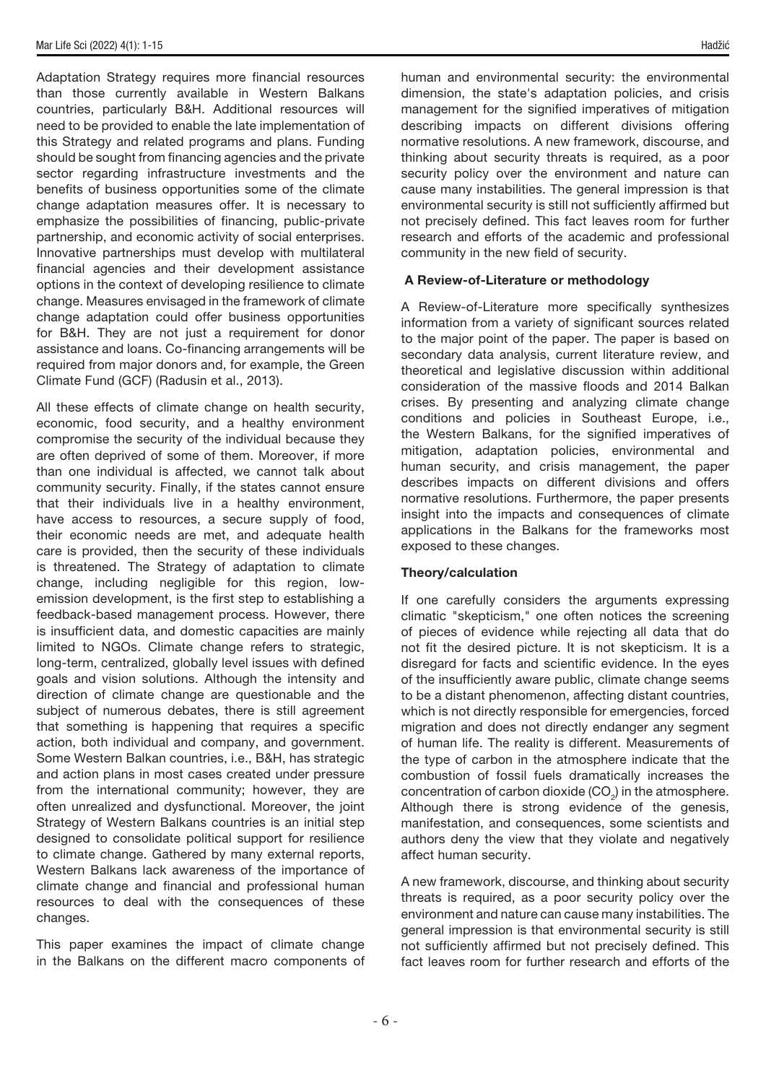Adaptation Strategy requires more financial resources than those currently available in Western Balkans countries, particularly B&H. Additional resources will need to be provided to enable the late implementation of this Strategy and related programs and plans. Funding should be sought from financing agencies and the private sector regarding infrastructure investments and the benefits of business opportunities some of the climate change adaptation measures offer. It is necessary to emphasize the possibilities of financing, public-private partnership, and economic activity of social enterprises. Innovative partnerships must develop with multilateral financial agencies and their development assistance options in the context of developing resilience to climate change. Measures envisaged in the framework of climate change adaptation could offer business opportunities for B&H. They are not just a requirement for donor assistance and loans. Co-financing arrangements will be required from major donors and, for example, the Green Climate Fund (GCF) (Radusin et al., 2013).

All these effects of climate change on health security, economic, food security, and a healthy environment compromise the security of the individual because they are often deprived of some of them. Moreover, if more than one individual is affected, we cannot talk about community security. Finally, if the states cannot ensure that their individuals live in a healthy environment, have access to resources, a secure supply of food, their economic needs are met, and adequate health care is provided, then the security of these individuals is threatened. The Strategy of adaptation to climate change, including negligible for this region, lowemission development, is the first step to establishing a feedback-based management process. However, there is insufficient data, and domestic capacities are mainly limited to NGOs. Climate change refers to strategic, long-term, centralized, globally level issues with defined goals and vision solutions. Although the intensity and direction of climate change are questionable and the subject of numerous debates, there is still agreement that something is happening that requires a specific action, both individual and company, and government. Some Western Balkan countries, i.e., B&H, has strategic and action plans in most cases created under pressure from the international community; however, they are often unrealized and dysfunctional. Moreover, the joint Strategy of Western Balkans countries is an initial step designed to consolidate political support for resilience to climate change. Gathered by many external reports, Western Balkans lack awareness of the importance of climate change and financial and professional human resources to deal with the consequences of these changes.

This paper examines the impact of climate change in the Balkans on the different macro components of human and environmental security: the environmental dimension, the state's adaptation policies, and crisis management for the signified imperatives of mitigation describing impacts on different divisions offering normative resolutions. A new framework, discourse, and thinking about security threats is required, as a poor security policy over the environment and nature can cause many instabilities. The general impression is that environmental security is still not sufficiently affirmed but not precisely defined. This fact leaves room for further research and efforts of the academic and professional community in the new field of security.

## A Review-of-Literature or methodology

A Review-of-Literature more specifically synthesizes information from a variety of significant sources related to the major point of the paper. The paper is based on secondary data analysis, current literature review, and theoretical and legislative discussion within additional consideration of the massive floods and 2014 Balkan crises. By presenting and analyzing climate change conditions and policies in Southeast Europe, i.e., the Western Balkans, for the signified imperatives of mitigation, adaptation policies, environmental and human security, and crisis management, the paper describes impacts on different divisions and offers normative resolutions. Furthermore, the paper presents insight into the impacts and consequences of climate applications in the Balkans for the frameworks most exposed to these changes.

## Theory/calculation

If one carefully considers the arguments expressing climatic "skepticism," one often notices the screening of pieces of evidence while rejecting all data that do not fit the desired picture. It is not skepticism. It is a disregard for facts and scientific evidence. In the eyes of the insufficiently aware public, climate change seems to be a distant phenomenon, affecting distant countries, which is not directly responsible for emergencies, forced migration and does not directly endanger any segment of human life. The reality is different. Measurements of the type of carbon in the atmosphere indicate that the combustion of fossil fuels dramatically increases the concentration of carbon dioxide  $(CO<sub>2</sub>)$  in the atmosphere. Although there is strong evidence of the genesis, manifestation, and consequences, some scientists and authors deny the view that they violate and negatively affect human security.

A new framework, discourse, and thinking about security threats is required, as a poor security policy over the environment and nature can cause many instabilities. The general impression is that environmental security is still not sufficiently affirmed but not precisely defined. This fact leaves room for further research and efforts of the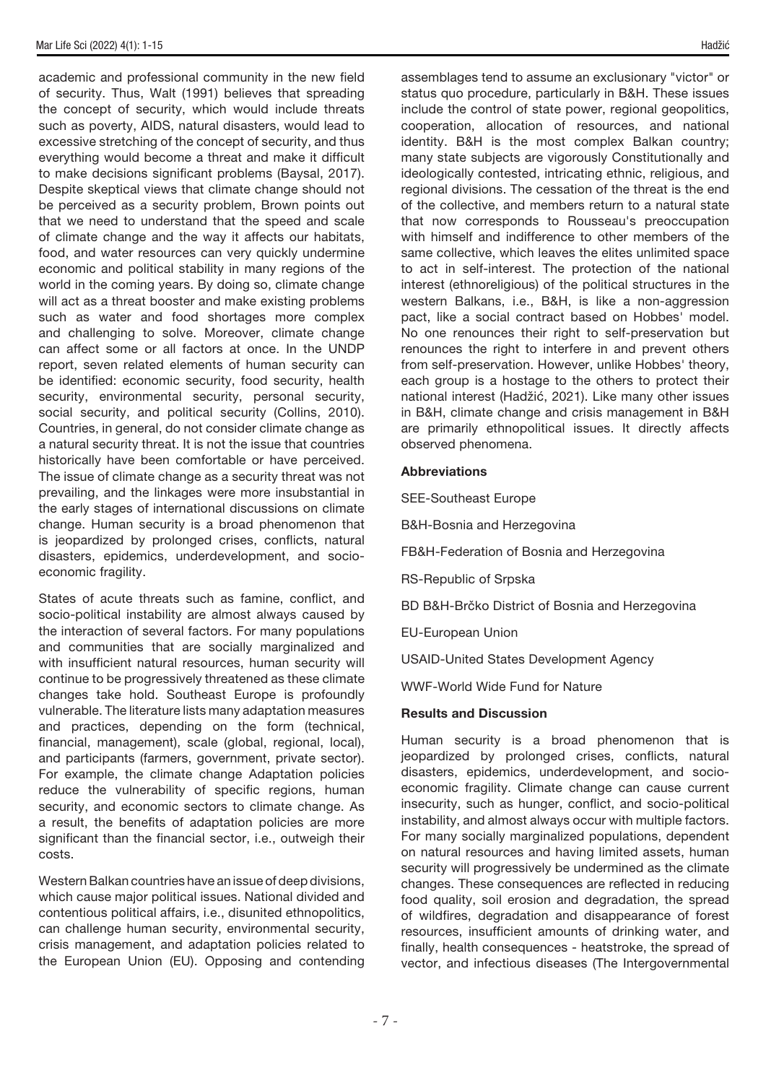academic and professional community in the new field of security. Thus, Walt (1991) believes that spreading the concept of security, which would include threats such as poverty, AIDS, natural disasters, would lead to excessive stretching of the concept of security, and thus everything would become a threat and make it difficult to make decisions significant problems (Baysal, 2017). Despite skeptical views that climate change should not be perceived as a security problem, Brown points out that we need to understand that the speed and scale of climate change and the way it affects our habitats, food, and water resources can very quickly undermine economic and political stability in many regions of the world in the coming years. By doing so, climate change will act as a threat booster and make existing problems such as water and food shortages more complex and challenging to solve. Moreover, climate change can affect some or all factors at once. In the UNDP report, seven related elements of human security can be identified: economic security, food security, health security, environmental security, personal security, social security, and political security (Collins, 2010). Countries, in general, do not consider climate change as a natural security threat. It is not the issue that countries historically have been comfortable or have perceived. The issue of climate change as a security threat was not prevailing, and the linkages were more insubstantial in the early stages of international discussions on climate change. Human security is a broad phenomenon that is jeopardized by prolonged crises, conflicts, natural disasters, epidemics, underdevelopment, and socioeconomic fragility.

States of acute threats such as famine, conflict, and socio-political instability are almost always caused by the interaction of several factors. For many populations and communities that are socially marginalized and with insufficient natural resources, human security will continue to be progressively threatened as these climate changes take hold. Southeast Europe is profoundly vulnerable. The literature lists many adaptation measures and practices, depending on the form (technical, financial, management), scale (global, regional, local), and participants (farmers, government, private sector). For example, the climate change Adaptation policies reduce the vulnerability of specific regions, human security, and economic sectors to climate change. As a result, the benefits of adaptation policies are more significant than the financial sector, i.e., outweigh their costs.

Western Balkan countries have an issue of deep divisions, which cause major political issues. National divided and contentious political affairs, i.e., disunited ethnopolitics, can challenge human security, environmental security, crisis management, and adaptation policies related to the European Union (EU). Opposing and contending assemblages tend to assume an exclusionary "victor" or status quo procedure, particularly in B&H. These issues include the control of state power, regional geopolitics, cooperation, allocation of resources, and national identity. B&H is the most complex Balkan country; many state subjects are vigorously Constitutionally and ideologically contested, intricating ethnic, religious, and regional divisions. The cessation of the threat is the end of the collective, and members return to a natural state that now corresponds to Rousseau's preoccupation with himself and indifference to other members of the same collective, which leaves the elites unlimited space to act in self-interest. The protection of the national interest (ethnoreligious) of the political structures in the western Balkans, i.e., B&H, is like a non-aggression pact, like a social contract based on Hobbes' model. No one renounces their right to self-preservation but renounces the right to interfere in and prevent others from self-preservation. However, unlike Hobbes' theory, each group is a hostage to the others to protect their national interest (Hadžić, 2021). Like many other issues in B&H, climate change and crisis management in B&H are primarily ethnopolitical issues. It directly affects observed phenomena.

# Abbreviations

SEE-Southeast Europe

B&H-Bosnia and Herzegovina

FB&H-Federation of Bosnia and Herzegovina

RS-Republic of Srpska

BD B&H-Brčko District of Bosnia and Herzegovina

EU-European Union

USAID-United States Development Agency

WWF-World Wide Fund for Nature

# Results and Discussion

Human security is a broad phenomenon that is jeopardized by prolonged crises, conflicts, natural disasters, epidemics, underdevelopment, and socioeconomic fragility. Climate change can cause current insecurity, such as hunger, conflict, and socio-political instability, and almost always occur with multiple factors. For many socially marginalized populations, dependent on natural resources and having limited assets, human security will progressively be undermined as the climate changes. These consequences are reflected in reducing food quality, soil erosion and degradation, the spread of wildfires, degradation and disappearance of forest resources, insufficient amounts of drinking water, and finally, health consequences - heatstroke, the spread of vector, and infectious diseases (The Intergovernmental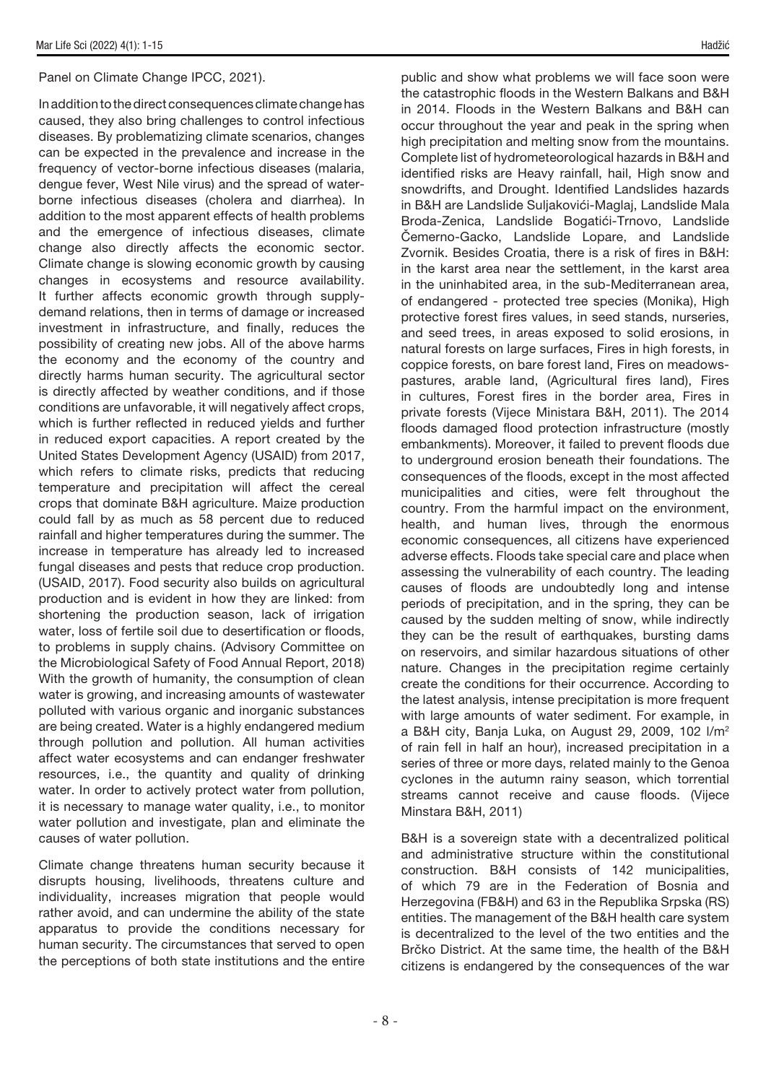Panel on Climate Change IPCC, 2021).

In addition to the direct consequences climate change has caused, they also bring challenges to control infectious diseases. By problematizing climate scenarios, changes can be expected in the prevalence and increase in the frequency of vector-borne infectious diseases (malaria, dengue fever, West Nile virus) and the spread of waterborne infectious diseases (cholera and diarrhea). In addition to the most apparent effects of health problems and the emergence of infectious diseases, climate change also directly affects the economic sector. Climate change is slowing economic growth by causing changes in ecosystems and resource availability. It further affects economic growth through supplydemand relations, then in terms of damage or increased investment in infrastructure, and finally, reduces the possibility of creating new jobs. All of the above harms the economy and the economy of the country and directly harms human security. The agricultural sector is directly affected by weather conditions, and if those conditions are unfavorable, it will negatively affect crops, which is further reflected in reduced yields and further in reduced export capacities. A report created by the United States Development Agency (USAID) from 2017, which refers to climate risks, predicts that reducing temperature and precipitation will affect the cereal crops that dominate B&H agriculture. Maize production could fall by as much as 58 percent due to reduced rainfall and higher temperatures during the summer. The increase in temperature has already led to increased fungal diseases and pests that reduce crop production. (USAID, 2017). Food security also builds on agricultural production and is evident in how they are linked: from shortening the production season, lack of irrigation water, loss of fertile soil due to desertification or floods, to problems in supply chains. (Advisory Committee on the Microbiological Safety of Food Annual Report, 2018) With the growth of humanity, the consumption of clean water is growing, and increasing amounts of wastewater polluted with various organic and inorganic substances are being created. Water is a highly endangered medium through pollution and pollution. All human activities affect water ecosystems and can endanger freshwater resources, i.e., the quantity and quality of drinking water. In order to actively protect water from pollution, it is necessary to manage water quality, i.e., to monitor water pollution and investigate, plan and eliminate the causes of water pollution.

Climate change threatens human security because it disrupts housing, livelihoods, threatens culture and individuality, increases migration that people would rather avoid, and can undermine the ability of the state apparatus to provide the conditions necessary for human security. The circumstances that served to open the perceptions of both state institutions and the entire

public and show what problems we will face soon were the catastrophic floods in the Western Balkans and B&H in 2014. Floods in the Western Balkans and B&H can occur throughout the year and peak in the spring when high precipitation and melting snow from the mountains. Complete list of hydrometeorological hazards in B&H and identified risks are Heavy rainfall, hail, High snow and snowdrifts, and Drought. Identified Landslides hazards in B&H are Landslide Suljakovići-Maglaj, Landslide Mala Broda-Zenica, Landslide Bogatići-Trnovo, Landslide Čemerno-Gacko, Landslide Lopare, and Landslide Zvornik. Besides Croatia, there is a risk of fires in B&H: in the karst area near the settlement, in the karst area in the uninhabited area, in the sub-Mediterranean area, of endangered - protected tree species (Monika), High protective forest fires values, in seed stands, nurseries, and seed trees, in areas exposed to solid erosions, in natural forests on large surfaces, Fires in high forests, in coppice forests, on bare forest land, Fires on meadowspastures, arable land, (Agricultural fires land), Fires in cultures, Forest fires in the border area, Fires in private forests (Vijece Ministara B&H, 2011). The 2014 floods damaged flood protection infrastructure (mostly embankments). Moreover, it failed to prevent floods due to underground erosion beneath their foundations. The consequences of the floods, except in the most affected municipalities and cities, were felt throughout the country. From the harmful impact on the environment, health, and human lives, through the enormous economic consequences, all citizens have experienced adverse effects. Floods take special care and place when assessing the vulnerability of each country. The leading causes of floods are undoubtedly long and intense periods of precipitation, and in the spring, they can be caused by the sudden melting of snow, while indirectly they can be the result of earthquakes, bursting dams on reservoirs, and similar hazardous situations of other nature. Changes in the precipitation regime certainly create the conditions for their occurrence. According to the latest analysis, intense precipitation is more frequent with large amounts of water sediment. For example, in a B&H city, Banja Luka, on August 29, 2009, 102 l/m2 of rain fell in half an hour), increased precipitation in a series of three or more days, related mainly to the Genoa cyclones in the autumn rainy season, which torrential streams cannot receive and cause floods. (Vijece Minstara B&H, 2011)

B&H is a sovereign state with a decentralized political and administrative structure within the constitutional construction. B&H consists of 142 municipalities, of which 79 are in the Federation of Bosnia and Herzegovina (FB&H) and 63 in the Republika Srpska (RS) entities. The management of the B&H health care system is decentralized to the level of the two entities and the Brčko District. At the same time, the health of the B&H citizens is endangered by the consequences of the war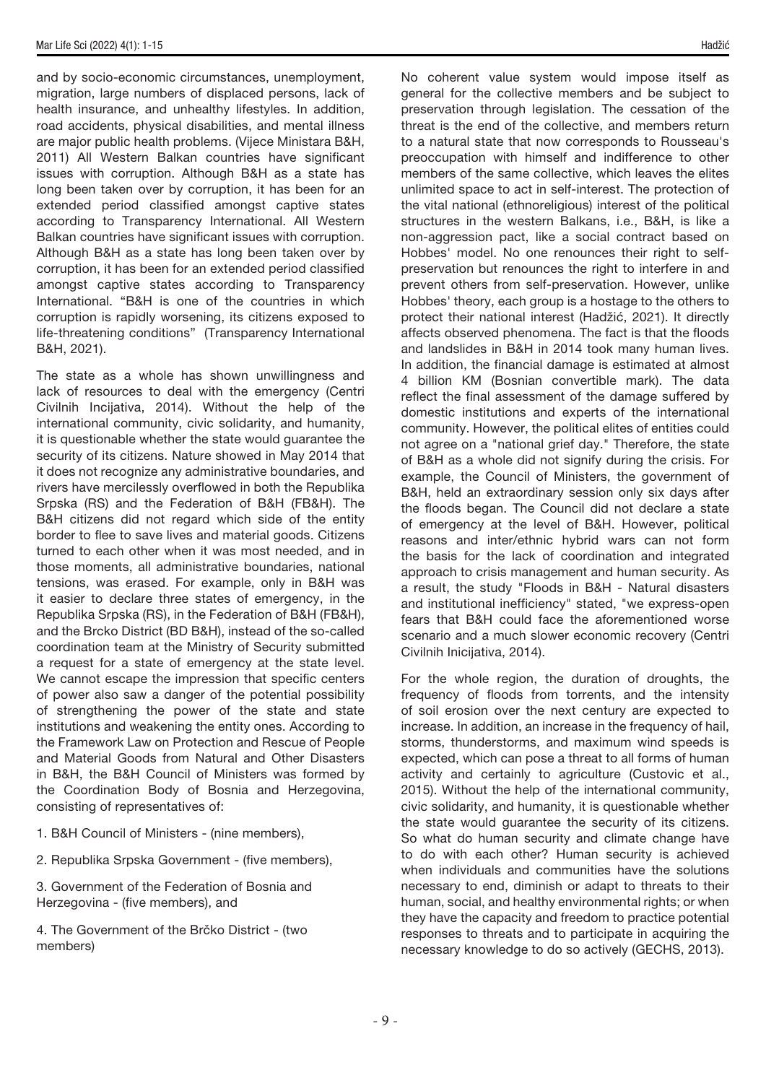and by socio-economic circumstances, unemployment, migration, large numbers of displaced persons, lack of health insurance, and unhealthy lifestyles. In addition, road accidents, physical disabilities, and mental illness are major public health problems. (Vijece Ministara B&H, 2011) All Western Balkan countries have significant issues with corruption. Although B&H as a state has long been taken over by corruption, it has been for an extended period classified amongst captive states according to Transparency International. All Western Balkan countries have significant issues with corruption. Although B&H as a state has long been taken over by corruption, it has been for an extended period classified amongst captive states according to Transparency International. "B&H is one of the countries in which corruption is rapidly worsening, its citizens exposed to life-threatening conditions" (Transparency International B&H, 2021).

The state as a whole has shown unwillingness and lack of resources to deal with the emergency (Centri Civilnih Incijativa, 2014). Without the help of the international community, civic solidarity, and humanity, it is questionable whether the state would guarantee the security of its citizens. Nature showed in May 2014 that it does not recognize any administrative boundaries, and rivers have mercilessly overflowed in both the Republika Srpska (RS) and the Federation of B&H (FB&H). The B&H citizens did not regard which side of the entity border to flee to save lives and material goods. Citizens turned to each other when it was most needed, and in those moments, all administrative boundaries, national tensions, was erased. For example, only in B&H was it easier to declare three states of emergency, in the Republika Srpska (RS), in the Federation of B&H (FB&H), and the Brcko District (BD B&H), instead of the so-called coordination team at the Ministry of Security submitted a request for a state of emergency at the state level. We cannot escape the impression that specific centers of power also saw a danger of the potential possibility of strengthening the power of the state and state institutions and weakening the entity ones. According to the Framework Law on Protection and Rescue of People and Material Goods from Natural and Other Disasters in B&H, the B&H Council of Ministers was formed by the Coordination Body of Bosnia and Herzegovina, consisting of representatives of:

- 1. B&H Council of Ministers (nine members),
- 2. Republika Srpska Government (five members),

3. Government of the Federation of Bosnia and Herzegovina - (five members), and

4. The Government of the Brčko District - (two members)

No coherent value system would impose itself as general for the collective members and be subject to preservation through legislation. The cessation of the threat is the end of the collective, and members return to a natural state that now corresponds to Rousseau's preoccupation with himself and indifference to other members of the same collective, which leaves the elites unlimited space to act in self-interest. The protection of the vital national (ethnoreligious) interest of the political structures in the western Balkans, i.e., B&H, is like a non-aggression pact, like a social contract based on Hobbes' model. No one renounces their right to selfpreservation but renounces the right to interfere in and prevent others from self-preservation. However, unlike Hobbes' theory, each group is a hostage to the others to protect their national interest (Hadžić, 2021). It directly affects observed phenomena. The fact is that the floods and landslides in B&H in 2014 took many human lives. In addition, the financial damage is estimated at almost 4 billion KM (Bosnian convertible mark). The data reflect the final assessment of the damage suffered by domestic institutions and experts of the international community. However, the political elites of entities could not agree on a "national grief day." Therefore, the state of B&H as a whole did not signify during the crisis. For example, the Council of Ministers, the government of B&H, held an extraordinary session only six days after the floods began. The Council did not declare a state of emergency at the level of B&H. However, political reasons and inter/ethnic hybrid wars can not form the basis for the lack of coordination and integrated approach to crisis management and human security. As a result, the study "Floods in B&H - Natural disasters and institutional inefficiency" stated, "we express-open fears that B&H could face the aforementioned worse scenario and a much slower economic recovery (Centri Civilnih Inicijativa, 2014).

For the whole region, the duration of droughts, the frequency of floods from torrents, and the intensity of soil erosion over the next century are expected to increase. In addition, an increase in the frequency of hail, storms, thunderstorms, and maximum wind speeds is expected, which can pose a threat to all forms of human activity and certainly to agriculture (Custovic et al., 2015). Without the help of the international community, civic solidarity, and humanity, it is questionable whether the state would guarantee the security of its citizens. So what do human security and climate change have to do with each other? Human security is achieved when individuals and communities have the solutions necessary to end, diminish or adapt to threats to their human, social, and healthy environmental rights; or when they have the capacity and freedom to practice potential responses to threats and to participate in acquiring the necessary knowledge to do so actively (GECHS, 2013).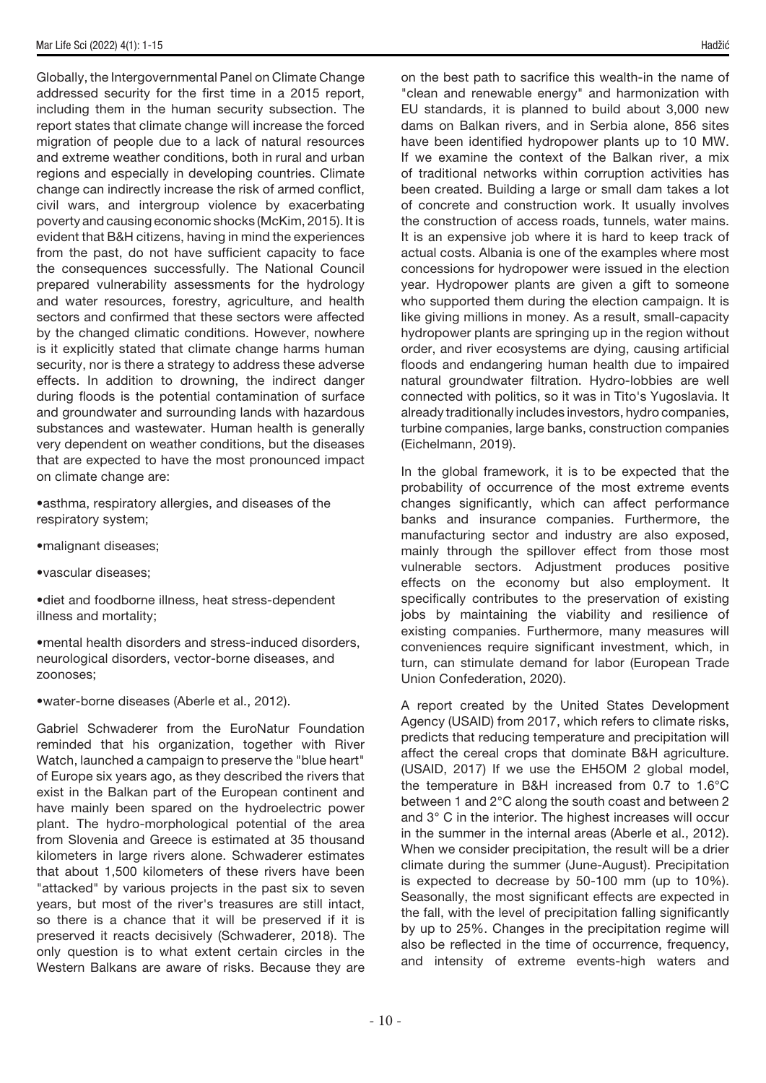Globally, the Intergovernmental Panel on Climate Change addressed security for the first time in a 2015 report, including them in the human security subsection. The report states that climate change will increase the forced migration of people due to a lack of natural resources and extreme weather conditions, both in rural and urban regions and especially in developing countries. Climate change can indirectly increase the risk of armed conflict, civil wars, and intergroup violence by exacerbating poverty and causing economic shocks (McKim, 2015). It is evident that B&H citizens, having in mind the experiences from the past, do not have sufficient capacity to face the consequences successfully. The National Council prepared vulnerability assessments for the hydrology and water resources, forestry, agriculture, and health sectors and confirmed that these sectors were affected by the changed climatic conditions. However, nowhere is it explicitly stated that climate change harms human security, nor is there a strategy to address these adverse effects. In addition to drowning, the indirect danger during floods is the potential contamination of surface and groundwater and surrounding lands with hazardous substances and wastewater. Human health is generally very dependent on weather conditions, but the diseases that are expected to have the most pronounced impact on climate change are:

•asthma, respiratory allergies, and diseases of the respiratory system;

- •malignant diseases;
- •vascular diseases;

•diet and foodborne illness, heat stress-dependent illness and mortality;

•mental health disorders and stress-induced disorders, neurological disorders, vector-borne diseases, and zoonoses;

•water-borne diseases (Aberle et al., 2012).

Gabriel Schwaderer from the EuroNatur Foundation reminded that his organization, together with River Watch, launched a campaign to preserve the "blue heart" of Europe six years ago, as they described the rivers that exist in the Balkan part of the European continent and have mainly been spared on the hydroelectric power plant. The hydro-morphological potential of the area from Slovenia and Greece is estimated at 35 thousand kilometers in large rivers alone. Schwaderer estimates that about 1,500 kilometers of these rivers have been "attacked" by various projects in the past six to seven years, but most of the river's treasures are still intact, so there is a chance that it will be preserved if it is preserved it reacts decisively (Schwaderer, 2018). The only question is to what extent certain circles in the Western Balkans are aware of risks. Because they are on the best path to sacrifice this wealth-in the name of "clean and renewable energy" and harmonization with EU standards, it is planned to build about 3,000 new dams on Balkan rivers, and in Serbia alone, 856 sites have been identified hydropower plants up to 10 MW. If we examine the context of the Balkan river, a mix of traditional networks within corruption activities has been created. Building a large or small dam takes a lot of concrete and construction work. It usually involves the construction of access roads, tunnels, water mains. It is an expensive job where it is hard to keep track of actual costs. Albania is one of the examples where most concessions for hydropower were issued in the election year. Hydropower plants are given a gift to someone who supported them during the election campaign. It is like giving millions in money. As a result, small-capacity hydropower plants are springing up in the region without order, and river ecosystems are dying, causing artificial floods and endangering human health due to impaired natural groundwater filtration. Hydro-lobbies are well connected with politics, so it was in Tito's Yugoslavia. It already traditionally includes investors, hydro companies, turbine companies, large banks, construction companies (Eichelmann, 2019).

In the global framework, it is to be expected that the probability of occurrence of the most extreme events changes significantly, which can affect performance banks and insurance companies. Furthermore, the manufacturing sector and industry are also exposed, mainly through the spillover effect from those most vulnerable sectors. Adjustment produces positive effects on the economy but also employment. It specifically contributes to the preservation of existing jobs by maintaining the viability and resilience of existing companies. Furthermore, many measures will conveniences require significant investment, which, in turn, can stimulate demand for labor (European Trade Union Confederation, 2020).

A report created by the United States Development Agency (USAID) from 2017, which refers to climate risks, predicts that reducing temperature and precipitation will affect the cereal crops that dominate B&H agriculture. (USAID, 2017) If we use the EH5OM 2 global model, the temperature in B&H increased from 0.7 to 1.6°C between 1 and 2°C along the south coast and between 2 and 3° C in the interior. The highest increases will occur in the summer in the internal areas (Aberle et al., 2012). When we consider precipitation, the result will be a drier climate during the summer (June-August). Precipitation is expected to decrease by 50-100 mm (up to 10%). Seasonally, the most significant effects are expected in the fall, with the level of precipitation falling significantly by up to 25%. Changes in the precipitation regime will also be reflected in the time of occurrence, frequency, and intensity of extreme events-high waters and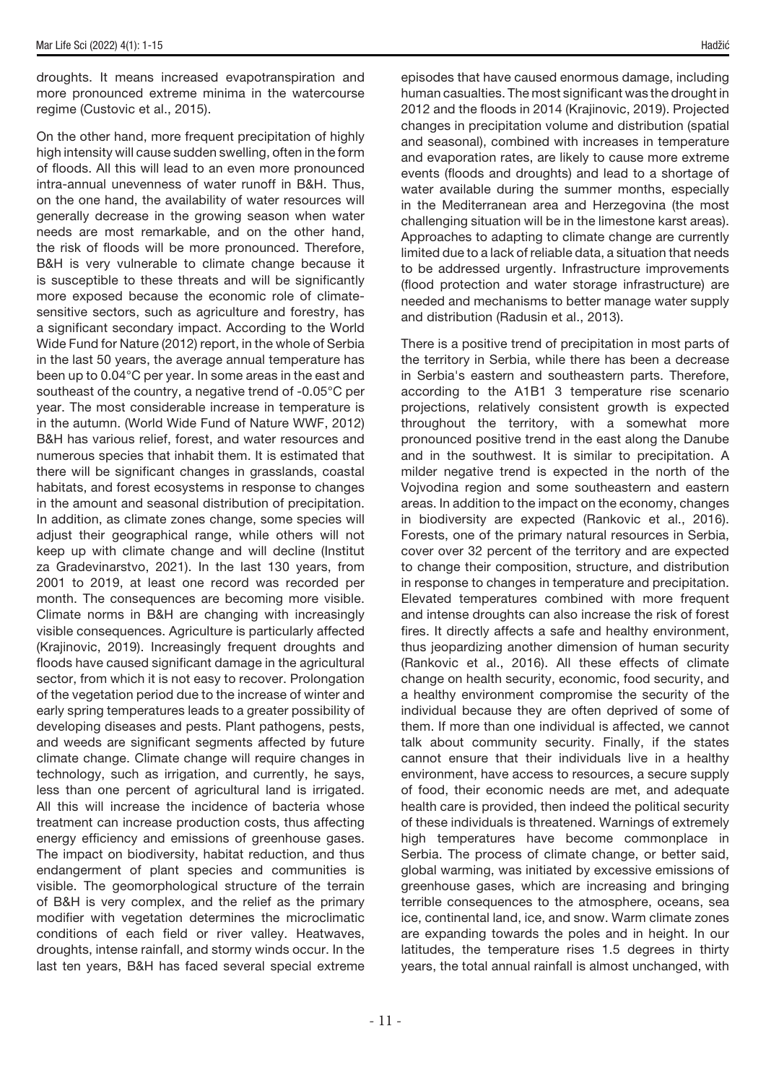droughts. It means increased evapotranspiration and more pronounced extreme minima in the watercourse regime (Custovic et al., 2015).

On the other hand, more frequent precipitation of highly high intensity will cause sudden swelling, often in the form of floods. All this will lead to an even more pronounced intra-annual unevenness of water runoff in B&H. Thus, on the one hand, the availability of water resources will generally decrease in the growing season when water needs are most remarkable, and on the other hand, the risk of floods will be more pronounced. Therefore, B&H is very vulnerable to climate change because it is susceptible to these threats and will be significantly more exposed because the economic role of climatesensitive sectors, such as agriculture and forestry, has a significant secondary impact. According to the World Wide Fund for Nature (2012) report, in the whole of Serbia in the last 50 years, the average annual temperature has been up to 0.04°C per year. In some areas in the east and southeast of the country, a negative trend of -0.05°C per year. The most considerable increase in temperature is in the autumn. (World Wide Fund of Nature WWF, 2012) B&H has various relief, forest, and water resources and numerous species that inhabit them. It is estimated that there will be significant changes in grasslands, coastal habitats, and forest ecosystems in response to changes in the amount and seasonal distribution of precipitation. In addition, as climate zones change, some species will adjust their geographical range, while others will not keep up with climate change and will decline (Institut za Gradevinarstvo, 2021). In the last 130 years, from 2001 to 2019, at least one record was recorded per month. The consequences are becoming more visible. Climate norms in B&H are changing with increasingly visible consequences. Agriculture is particularly affected (Krajinovic, 2019). Increasingly frequent droughts and floods have caused significant damage in the agricultural sector, from which it is not easy to recover. Prolongation of the vegetation period due to the increase of winter and early spring temperatures leads to a greater possibility of developing diseases and pests. Plant pathogens, pests, and weeds are significant segments affected by future climate change. Climate change will require changes in technology, such as irrigation, and currently, he says, less than one percent of agricultural land is irrigated. All this will increase the incidence of bacteria whose treatment can increase production costs, thus affecting energy efficiency and emissions of greenhouse gases. The impact on biodiversity, habitat reduction, and thus endangerment of plant species and communities is visible. The geomorphological structure of the terrain of B&H is very complex, and the relief as the primary modifier with vegetation determines the microclimatic conditions of each field or river valley. Heatwaves, droughts, intense rainfall, and stormy winds occur. In the last ten years, B&H has faced several special extreme

episodes that have caused enormous damage, including human casualties. The most significant was the drought in 2012 and the floods in 2014 (Krajinovic, 2019). Projected changes in precipitation volume and distribution (spatial and seasonal), combined with increases in temperature and evaporation rates, are likely to cause more extreme events (floods and droughts) and lead to a shortage of water available during the summer months, especially in the Mediterranean area and Herzegovina (the most challenging situation will be in the limestone karst areas). Approaches to adapting to climate change are currently limited due to a lack of reliable data, a situation that needs to be addressed urgently. Infrastructure improvements (flood protection and water storage infrastructure) are needed and mechanisms to better manage water supply and distribution (Radusin et al., 2013).

There is a positive trend of precipitation in most parts of the territory in Serbia, while there has been a decrease in Serbia's eastern and southeastern parts. Therefore, according to the A1B1 3 temperature rise scenario projections, relatively consistent growth is expected throughout the territory, with a somewhat more pronounced positive trend in the east along the Danube and in the southwest. It is similar to precipitation. A milder negative trend is expected in the north of the Vojvodina region and some southeastern and eastern areas. In addition to the impact on the economy, changes in biodiversity are expected (Rankovic et al., 2016). Forests, one of the primary natural resources in Serbia, cover over 32 percent of the territory and are expected to change their composition, structure, and distribution in response to changes in temperature and precipitation. Elevated temperatures combined with more frequent and intense droughts can also increase the risk of forest fires. It directly affects a safe and healthy environment, thus jeopardizing another dimension of human security (Rankovic et al., 2016). All these effects of climate change on health security, economic, food security, and a healthy environment compromise the security of the individual because they are often deprived of some of them. If more than one individual is affected, we cannot talk about community security. Finally, if the states cannot ensure that their individuals live in a healthy environment, have access to resources, a secure supply of food, their economic needs are met, and adequate health care is provided, then indeed the political security of these individuals is threatened. Warnings of extremely high temperatures have become commonplace in Serbia. The process of climate change, or better said, global warming, was initiated by excessive emissions of greenhouse gases, which are increasing and bringing terrible consequences to the atmosphere, oceans, sea ice, continental land, ice, and snow. Warm climate zones are expanding towards the poles and in height. In our latitudes, the temperature rises 1.5 degrees in thirty years, the total annual rainfall is almost unchanged, with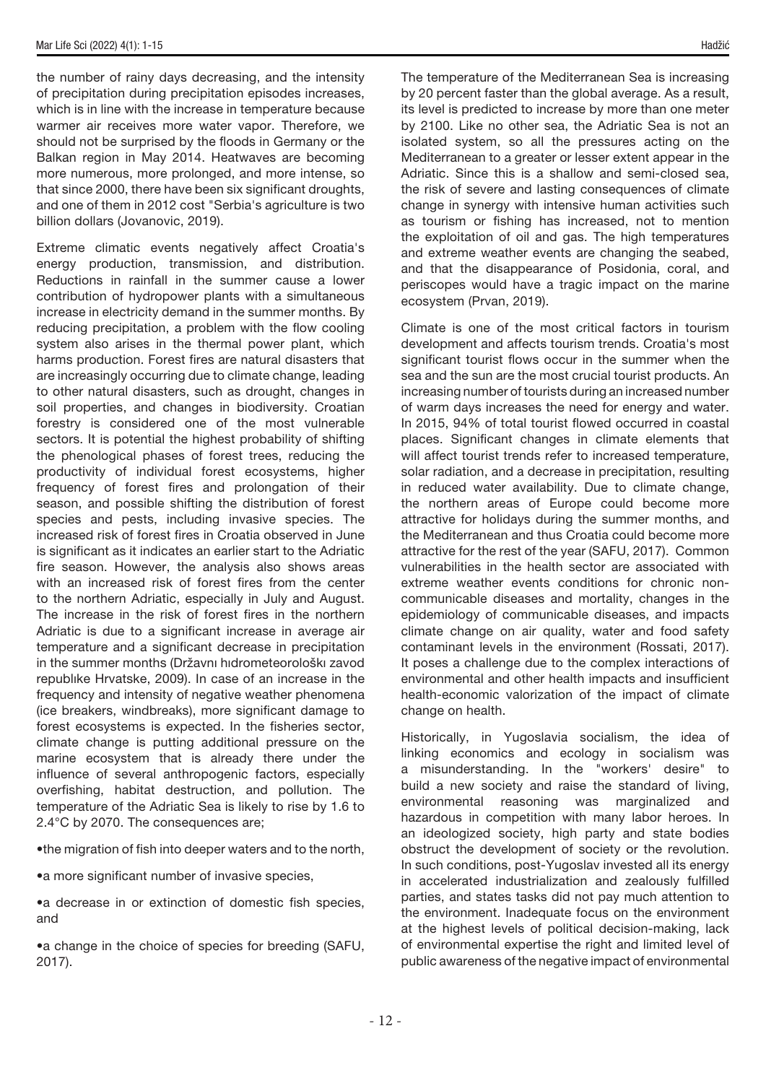the number of rainy days decreasing, and the intensity of precipitation during precipitation episodes increases, which is in line with the increase in temperature because warmer air receives more water vapor. Therefore, we should not be surprised by the floods in Germany or the Balkan region in May 2014. Heatwaves are becoming more numerous, more prolonged, and more intense, so that since 2000, there have been six significant droughts, and one of them in 2012 cost "Serbia's agriculture is two billion dollars (Jovanovic, 2019).

Extreme climatic events negatively affect Croatia's energy production, transmission, and distribution. Reductions in rainfall in the summer cause a lower contribution of hydropower plants with a simultaneous increase in electricity demand in the summer months. By reducing precipitation, a problem with the flow cooling system also arises in the thermal power plant, which harms production. Forest fires are natural disasters that are increasingly occurring due to climate change, leading to other natural disasters, such as drought, changes in soil properties, and changes in biodiversity. Croatian forestry is considered one of the most vulnerable sectors. It is potential the highest probability of shifting the phenological phases of forest trees, reducing the productivity of individual forest ecosystems, higher frequency of forest fires and prolongation of their season, and possible shifting the distribution of forest species and pests, including invasive species. The increased risk of forest fires in Croatia observed in June is significant as it indicates an earlier start to the Adriatic fire season. However, the analysis also shows areas with an increased risk of forest fires from the center to the northern Adriatic, especially in July and August. The increase in the risk of forest fires in the northern Adriatic is due to a significant increase in average air temperature and a significant decrease in precipitation in the summer months (Državnı hıdrometeorološkı zavod republıke Hrvatske, 2009). In case of an increase in the frequency and intensity of negative weather phenomena (ice breakers, windbreaks), more significant damage to forest ecosystems is expected. In the fisheries sector, climate change is putting additional pressure on the marine ecosystem that is already there under the influence of several anthropogenic factors, especially overfishing, habitat destruction, and pollution. The temperature of the Adriatic Sea is likely to rise by 1.6 to 2.4°C by 2070. The consequences are;

•the migration of fish into deeper waters and to the north,

•a more significant number of invasive species,

•a decrease in or extinction of domestic fish species, and

•a change in the choice of species for breeding (SAFU, 2017).

The temperature of the Mediterranean Sea is increasing by 20 percent faster than the global average. As a result, its level is predicted to increase by more than one meter by 2100. Like no other sea, the Adriatic Sea is not an isolated system, so all the pressures acting on the Mediterranean to a greater or lesser extent appear in the Adriatic. Since this is a shallow and semi-closed sea, the risk of severe and lasting consequences of climate change in synergy with intensive human activities such as tourism or fishing has increased, not to mention the exploitation of oil and gas. The high temperatures and extreme weather events are changing the seabed, and that the disappearance of Posidonia, coral, and periscopes would have a tragic impact on the marine ecosystem (Prvan, 2019).

Climate is one of the most critical factors in tourism development and affects tourism trends. Croatia's most significant tourist flows occur in the summer when the sea and the sun are the most crucial tourist products. An increasing number of tourists during an increased number of warm days increases the need for energy and water. In 2015, 94% of total tourist flowed occurred in coastal places. Significant changes in climate elements that will affect tourist trends refer to increased temperature, solar radiation, and a decrease in precipitation, resulting in reduced water availability. Due to climate change, the northern areas of Europe could become more attractive for holidays during the summer months, and the Mediterranean and thus Croatia could become more attractive for the rest of the year (SAFU, 2017). Common vulnerabilities in the health sector are associated with extreme weather events conditions for chronic noncommunicable diseases and mortality, changes in the epidemiology of communicable diseases, and impacts climate change on air quality, water and food safety contaminant levels in the environment (Rossati, 2017). It poses a challenge due to the complex interactions of environmental and other health impacts and insufficient health-economic valorization of the impact of climate change on health.

Historically, in Yugoslavia socialism, the idea of linking economics and ecology in socialism was a misunderstanding. In the "workers' desire" to build a new society and raise the standard of living, environmental reasoning was marginalized and hazardous in competition with many labor heroes. In an ideologized society, high party and state bodies obstruct the development of society or the revolution. In such conditions, post-Yugoslav invested all its energy in accelerated industrialization and zealously fulfilled parties, and states tasks did not pay much attention to the environment. Inadequate focus on the environment at the highest levels of political decision-making, lack of environmental expertise the right and limited level of public awareness of the negative impact of environmental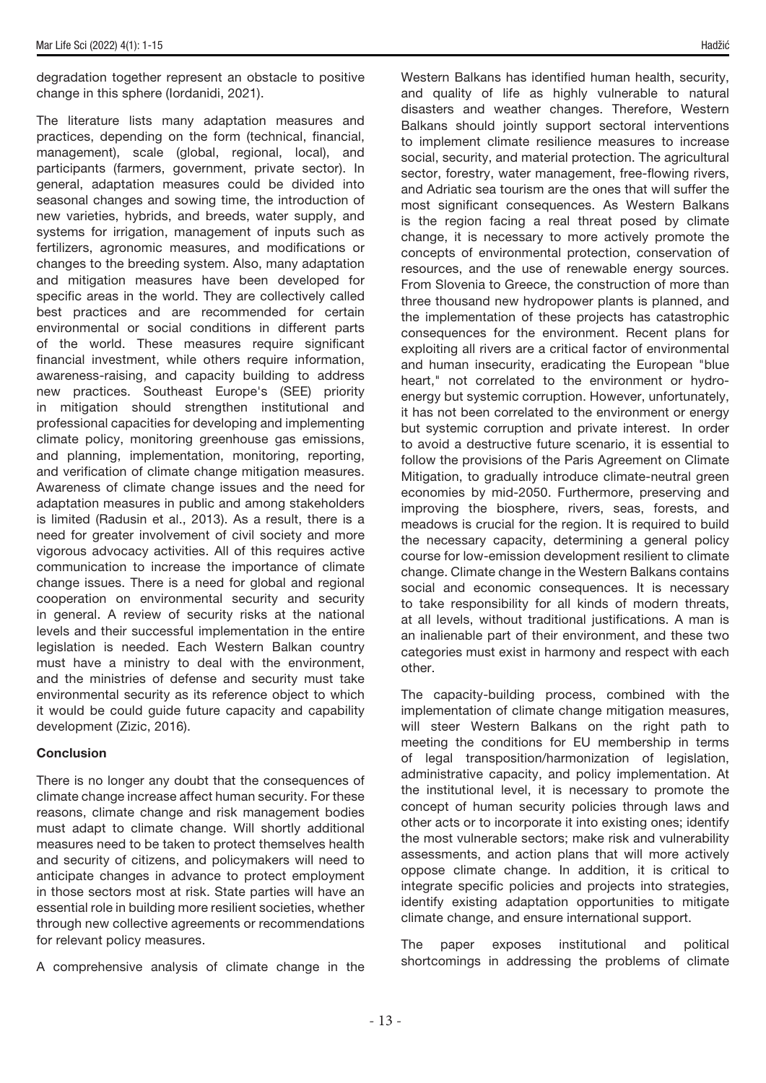degradation together represent an obstacle to positive change in this sphere (Iordanidi, 2021).

The literature lists many adaptation measures and practices, depending on the form (technical, financial, management), scale (global, regional, local), and participants (farmers, government, private sector). In general, adaptation measures could be divided into seasonal changes and sowing time, the introduction of new varieties, hybrids, and breeds, water supply, and systems for irrigation, management of inputs such as fertilizers, agronomic measures, and modifications or changes to the breeding system. Also, many adaptation and mitigation measures have been developed for specific areas in the world. They are collectively called best practices and are recommended for certain environmental or social conditions in different parts of the world. These measures require significant financial investment, while others require information, awareness-raising, and capacity building to address new practices. Southeast Europe's (SEE) priority in mitigation should strengthen institutional and professional capacities for developing and implementing climate policy, monitoring greenhouse gas emissions, and planning, implementation, monitoring, reporting, and verification of climate change mitigation measures. Awareness of climate change issues and the need for adaptation measures in public and among stakeholders is limited (Radusin et al., 2013). As a result, there is a need for greater involvement of civil society and more vigorous advocacy activities. All of this requires active communication to increase the importance of climate change issues. There is a need for global and regional cooperation on environmental security and security in general. A review of security risks at the national levels and their successful implementation in the entire legislation is needed. Each Western Balkan country must have a ministry to deal with the environment, and the ministries of defense and security must take environmental security as its reference object to which it would be could guide future capacity and capability development (Zizic, 2016).

### **Conclusion**

There is no longer any doubt that the consequences of climate change increase affect human security. For these reasons, climate change and risk management bodies must adapt to climate change. Will shortly additional measures need to be taken to protect themselves health and security of citizens, and policymakers will need to anticipate changes in advance to protect employment in those sectors most at risk. State parties will have an essential role in building more resilient societies, whether through new collective agreements or recommendations for relevant policy measures.

A comprehensive analysis of climate change in the

Western Balkans has identified human health, security, and quality of life as highly vulnerable to natural disasters and weather changes. Therefore, Western Balkans should jointly support sectoral interventions to implement climate resilience measures to increase social, security, and material protection. The agricultural sector, forestry, water management, free-flowing rivers, and Adriatic sea tourism are the ones that will suffer the most significant consequences. As Western Balkans is the region facing a real threat posed by climate change, it is necessary to more actively promote the concepts of environmental protection, conservation of resources, and the use of renewable energy sources. From Slovenia to Greece, the construction of more than three thousand new hydropower plants is planned, and the implementation of these projects has catastrophic consequences for the environment. Recent plans for exploiting all rivers are a critical factor of environmental and human insecurity, eradicating the European "blue heart," not correlated to the environment or hydroenergy but systemic corruption. However, unfortunately, it has not been correlated to the environment or energy but systemic corruption and private interest. In order to avoid a destructive future scenario, it is essential to follow the provisions of the Paris Agreement on Climate Mitigation, to gradually introduce climate-neutral green economies by mid-2050. Furthermore, preserving and improving the biosphere, rivers, seas, forests, and meadows is crucial for the region. It is required to build the necessary capacity, determining a general policy course for low-emission development resilient to climate change. Climate change in the Western Balkans contains social and economic consequences. It is necessary to take responsibility for all kinds of modern threats, at all levels, without traditional justifications. A man is an inalienable part of their environment, and these two categories must exist in harmony and respect with each other.

The capacity-building process, combined with the implementation of climate change mitigation measures, will steer Western Balkans on the right path to meeting the conditions for EU membership in terms of legal transposition/harmonization of legislation, administrative capacity, and policy implementation. At the institutional level, it is necessary to promote the concept of human security policies through laws and other acts or to incorporate it into existing ones; identify the most vulnerable sectors; make risk and vulnerability assessments, and action plans that will more actively oppose climate change. In addition, it is critical to integrate specific policies and projects into strategies, identify existing adaptation opportunities to mitigate climate change, and ensure international support.

The paper exposes institutional and political shortcomings in addressing the problems of climate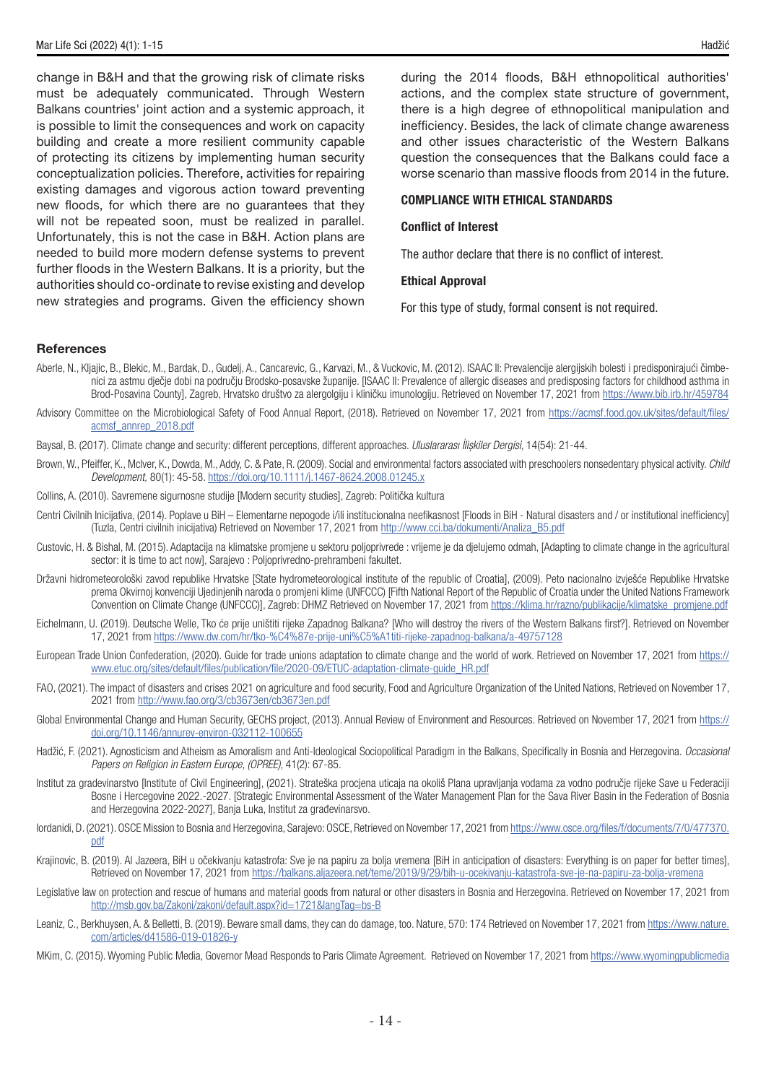change in B&H and that the growing risk of climate risks must be adequately communicated. Through Western Balkans countries' joint action and a systemic approach, it is possible to limit the consequences and work on capacity building and create a more resilient community capable of protecting its citizens by implementing human security conceptualization policies. Therefore, activities for repairing existing damages and vigorous action toward preventing new floods, for which there are no guarantees that they will not be repeated soon, must be realized in parallel. Unfortunately, this is not the case in B&H. Action plans are needed to build more modern defense systems to prevent further floods in the Western Balkans. It is a priority, but the authorities should co-ordinate to revise existing and develop new strategies and programs. Given the efficiency shown during the 2014 floods, B&H ethnopolitical authorities' actions, and the complex state structure of government, there is a high degree of ethnopolitical manipulation and inefficiency. Besides, the lack of climate change awareness and other issues characteristic of the Western Balkans question the consequences that the Balkans could face a worse scenario than massive floods from 2014 in the future.

#### COMPLIANCE WITH ETHICAL STANDARDS

#### Conflict of Interest

The author declare that there is no conflict of interest.

#### Ethical Approval

For this type of study, formal consent is not required.

### **References**

- Aberle, N., Kljajic, B., Blekic, M., Bardak, D., Gudelj, A., Cancarevic, G., Karvazi, M., & Vuckovic, M. (2012). ISAAC II: Prevalencije alergijskih bolesti i predisponirajući čimbenici za astmu dječje dobi na području Brodsko-posavske županije. [ISAAC II: Prevalence of allergic diseases and predisposing factors for childhood asthma in Brod-Posavina County], Zagreb, Hrvatsko društvo za alergolgiju i kliničku imunologiju. Retrieved on November 17, 2021 from <https://www.bib.irb.hr/459784>
- Advisory Committee on the Microbiological Safety of Food Annual Report, (2018). Retrieved on November 17, 2021 from [https://acmsf.food.gov.uk/sites/default/files/](https://acmsf.food.gov.uk/sites/default/files/acmsf_annrep_2018.pdf) [acmsf\\_annrep\\_2018.pdf](https://acmsf.food.gov.uk/sites/default/files/acmsf_annrep_2018.pdf)
- Baysal, B. (2017). Climate change and security: different perceptions, different approaches. *Uluslararası İlişkiler Dergisi,* 14(54): 21-44.
- Brown, W., Pfeiffer, K., Mclver, K., Dowda, M., Addy, C. & Pate, R. (2009). Social and environmental factors associated with preschoolers nonsedentary physical activity. *Child Development,* 80(1): 45-58. <https://doi.org/10.1111/j.1467-8624.2008.01245.x>
- Collins, A. (2010). Savremene sigurnosne studije [Modern security studies], Zagreb: Politička kultura
- Centri Civilnih Inicijativa, (2014). Poplave u BiH Elementarne nepogode i/ili institucionalna neefikasnost [Floods in BiH Natural disasters and / or institutional inefficiency] (Tuzla, Centri civilnih inicijativa) Retrieved on November 17, 2021 from [http://www.cci.ba/dokumenti/Analiza\\_B5.pdf](http://www.cci.ba/dokumenti/Analiza_B5.pdf)
- Custovic, H. & Bishal, M. (2015). Adaptacija na klimatske promjene u sektoru poljoprivrede : vrijeme je da djelujemo odmah, [Adapting to climate change in the agricultural sector: it is time to act now], Sarajevo : Poljoprivredno-prehrambeni fakultet.
- Državni hidrometeorološki zavod republike Hrvatske [State hydrometeorological institute of the republic of Croatia], (2009). Peto nacionalno izvješće Republike Hrvatske prema Okvirnoj konvenciji Ujedinjenih naroda o promjeni klime (UNFCCC) [Fifth National Report of the Republic of Croatia under the United Nations Framework Convention on Climate Change (UNFCCC)], Zagreb: DHMZ Retrieved on November 17, 2021 from https://klima.hr/razno/publikaciie/klimatske\_promiene.pdf
- Eichelmann, U. (2019). Deutsche Welle, Tko će prije uništiti rijeke Zapadnog Balkana? [Who will destroy the rivers of the Western Balkans first?]. Retrieved on November 17, 2021 from <https://www.dw.com/hr/tko-%C4%87e-prije-uni%C5%A1titi-rijeke-zapadnog-balkana/a-49757128>
- European Trade Union Confederation, (2020). Guide for trade unions adaptation to climate change and the world of work. Retrieved on November 17, 2021 from [https://](https://www.etuc.org/sites/default/files/publication/file/2020-09/ETUC-adaptation-climate-guide_HR.pdf) [www.etuc.org/sites/default/files/publication/file/2020-09/ETUC-adaptation-climate-guide\\_HR.pdf](https://www.etuc.org/sites/default/files/publication/file/2020-09/ETUC-adaptation-climate-guide_HR.pdf)
- FAO, (2021). The impact of disasters and crises 2021 on agriculture and food security, Food and Agriculture Organization of the United Nations, Retrieved on November 17, 2021 from<http://www.fao.org/3/cb3673en/cb3673en.pdf>
- Global Environmental Change and Human Security, GECHS project, (2013). Annual Review of Environment and Resources. Retrieved on November 17, 2021 from [https://](https://doi.org/10.1146/annurev-environ-032112-100655) [doi.org/10.1146/annurev-environ-032112-100655](https://doi.org/10.1146/annurev-environ-032112-100655)
- Hadžić, F. (2021). Agnosticism and Atheism as Amoralism and Anti-Ideological Sociopolitical Paradigm in the Balkans, Specifically in Bosnia and Herzegovina. *Occasional Papers on Religion in Eastern Europe, (OPREE)*, 41(2): 67-85.
- Institut za gradevinarstvo [Institute of Civil Engineering], (2021). Strateška procjena uticaja na okoliš Plana upravljanja vodama za vodno područje rijeke Save u Federaciji Bosne i Hercegovine 2022.-2027. [Strategic Environmental Assessment of the Water Management Plan for the Sava River Basin in the Federation of Bosnia and Herzegovina 2022-2027], Banja Luka, Institut za građevinarsvo.
- Iordanidi, D. (2021). OSCE Mission to Bosnia and Herzegovina, Sarajevo: OSCE, Retrieved on November 17, 2021 from [https://www.osce.org/files/f/documents/7/0/477370.](https://www.osce.org/files/f/documents/7/0/477370.pdf) [pdf](https://www.osce.org/files/f/documents/7/0/477370.pdf)
- Krajinovic, B. (2019). Al Jazeera, BiH u očekivanju katastrofa: Sve je na papiru za bolja vremena [BiH in anticipation of disasters: Everything is on paper for better times], Retrieved on November 17, 2021 from<https://balkans.aljazeera.net/teme/2019/9/29/bih-u-ocekivanju-katastrofa-sve-je-na-papiru-za-bolja-vremena>
- Legislative law on protection and rescue of humans and material goods from natural or other disasters in Bosnia and Herzegovina. Retrieved on November 17, 2021 from <http://msb.gov.ba/Zakoni/zakoni/default.aspx?id=1721&langTag=bs-B>
- Leaniz, C., Berkhuysen, A. & Belletti, B. (2019). Beware small dams, they can do damage, too. Nature, 570: 174 Retrieved on November 17, 2021 from [https://www.nature.](https://www.nature.com/articles/d41586-019-01826-y ) [com/articles/d41586-019-01826-y](https://www.nature.com/articles/d41586-019-01826-y )
- MKim, C. (2015). Wyoming Public Media, Governor Mead Responds to Paris Climate Agreement. Retrieved on November 17, 2021 from [https://www.wyomingpublicmedia](https://www.wyomingpublicmedia )